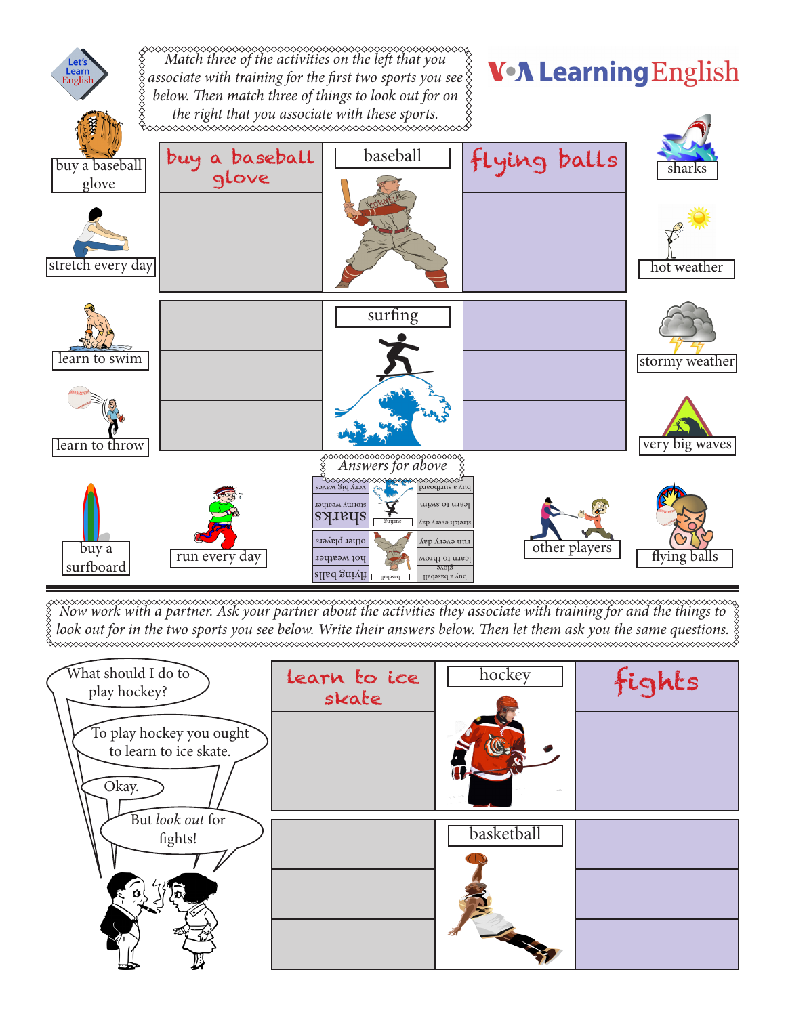

*Now work with a partner. Ask your partner about the activities they associate with training for and the things to look out for in the two sports you see below. Write their answers below. Then let them ask you the same questions.*

| What should I do to<br>play hockey?<br>To play hockey you ought<br>to learn to ice skate.<br>Okay. | learn to ice<br>skate | hockey          | fights |
|----------------------------------------------------------------------------------------------------|-----------------------|-----------------|--------|
| But look out for<br>fights!                                                                        |                       | basketball<br>1 |        |